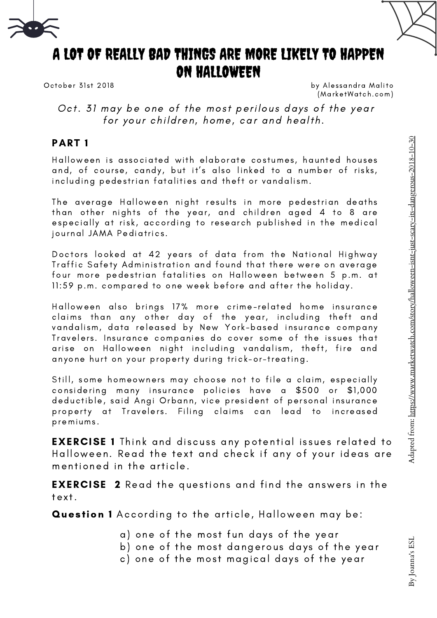



# A LOT OF REALLY BAD THINGS ARE MORE LIKELY TO HAPPEN ON HALLOWEEN

October 31st 2018

by Alessandra Malito (MarketWatch.com)

Oct. 31 may be one of the most perilous days of the year for your children, home, car and health.

#### PART 1

Halloween is associated with elaborate costumes, haunted houses and, of course, candy, but it's also linked to a number of risks, including pedestrian fatalities and theft or vandalism.

The average Halloween night results in more pedestrian deaths than other nights of the year, and children aged 4 to 8 are especially at risk, according to research published in the medical journal JAMA Pediatrics.

Doctors looked at 42 years of data from the National Highway Traffic Safety Administration and found that there were on average four more pedestrian fatalities on Halloween between 5 p.m. at 11:59 p.m. compared to one week before and after the holiday.

Halloween also brings 17% more crime-related home insurance claims than any other day of the year, including theft and vandalism, data released by New York-based insurance company Travelers. Insurance companies do cover some of the issues that arise on Halloween night including vandalism, theft, fire and anyone hurt on your property during trick-or-treating.

Still, some homeowners may choose not to file a claim, especially considering many insurance policies have a \$500 or \$1,000 deductible, said Angi Orbann, vice president of personal insurance property at Travelers. Filing claims can lead to increased premiums .

**EXERCISE 1** Think and discuss any potential issues related to Halloween. Read the text and check if any of your ideas are mentioned in the article.

**EXERCISE** 2 Read the questions and find the answers in the text.

Question 1 According to the article, Halloween may be:

- a) one of the most fun days of the year
- b) one of the most dangerous days of the year
- c) one of the most magical days of the year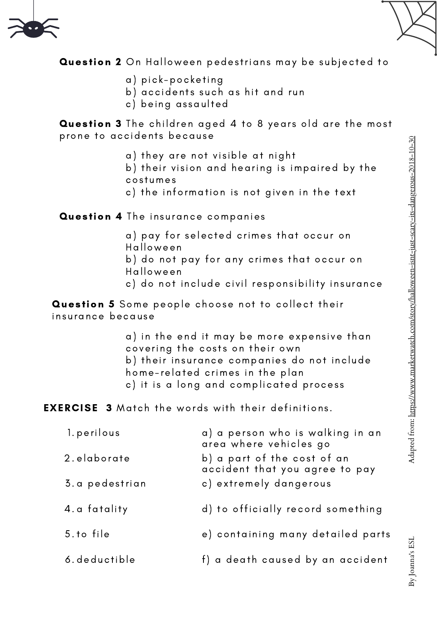



Question 2 On Halloween pedestrians may be subjected to

- a) pick -pocketing
- b) accidents such as hit and run
- c) being assaulted

**Question 3** The children aged 4 to 8 years old are the most prone to accidents because

- a) they are not visible at night
- b) their vision and hearing is impaired by the costumes
- c) the information is not given in the text

#### Question 4 The insurance companies

- a) pay for selected crimes that occur on **Halloween**
- b) do not pay for any crimes that occur on
- Halloween
- c) do not include civil responsibility insurance

Question 5 Some people choose not to collect their insurance because

> a) in the end it may be more expensive than covering the costs on their own b) their insurance companies do not include home- related crimes in the plan c) it is a long and complicated process

**EXERCISE 3** Match the words with their definitions.

| 1. perilous    | a) a person who is walking in an<br>area where vehicles go    |
|----------------|---------------------------------------------------------------|
| 2.elaborate    | b) a part of the cost of an<br>accident that you agree to pay |
| 3.a pedestrian | c) extremely dangerous                                        |
| 4.a fatality   | d) to officially record something                             |
| 5.to file      | e) containing many detailed parts                             |
| 6. deductible  | f) a death caused by an accident                              |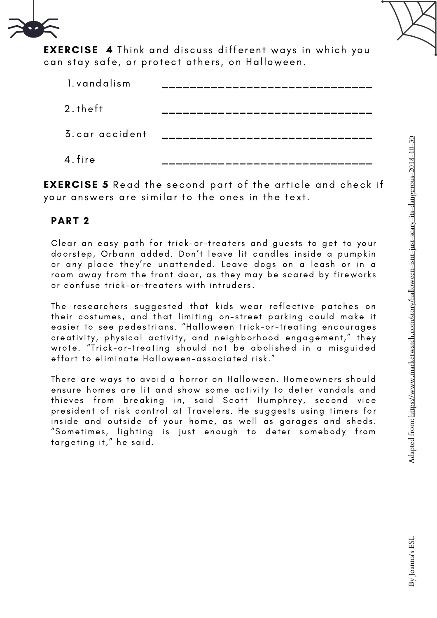

**EXERCISE 4** Think and discuss different ways in which you can stay safe, or protect others, on Halloween.

| 1. vandalism    |  |
|-----------------|--|
| $2.$ theft      |  |
| 3. car accident |  |
| 4. fire         |  |

EXERCISE 5 Read the second part of the article and check if your answers are similar to the ones in the text.

#### PART 2

Clear an easy path for trick-or-treaters and guests to get to your doorstep, Orbann added. Don't leave lit candles inside a pumpkin or any place they 're unattended. Leave dogs on a leash or in a room away from the front door, as they may be scared by fireworks or confuse trick-or-treaters with intruders.

The researchers suggested that kids wear reflective patches on their costumes, and that limiting on-street parking could make it easier to see pedestrians. "Halloween trick-or-treating encourages creativity, physical activity, and neighborhood engagement," they wrote. "Trick-or-treating should not be abolished in a misguided effort to eliminate Halloween-associated risk."

There are ways to avoid a horror on Halloween. Homeowners should ensure homes are lit and show some activity to deter vandals and thieves from breaking in, said Scott Humphrey, second vice president of risk control at Travelers. He suggests using timers for inside and outside of your home, as well as garages and sheds. "Sometimes, lighting is just enough to deter somebody from targeting it," he said.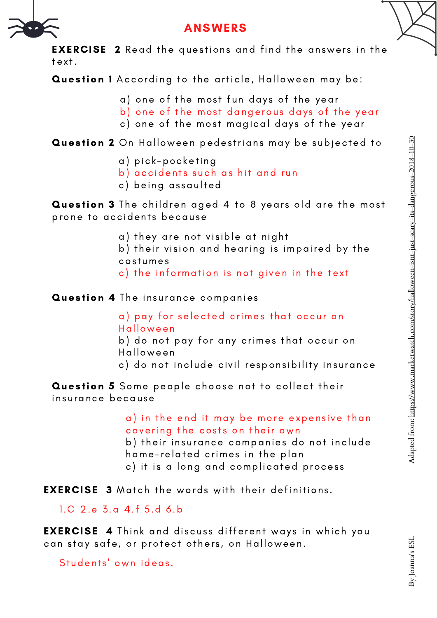

## ANSWERS

**EXERCISE 2** Read the questions and find the answers in the tex t.

Question 1 According to the article, Halloween may be:

- a) one of the most fun days of the year
- b) one of the most dangerous days of the year
- c) one of the most magical days of the year

Question 2 On Halloween pedestrians may be subjected to

- a) pick -pocketing
- b) accidents such as hit and run
- c) being assaulted

Question 3 The children aged 4 to 8 years old are the most prone to accidents because

- a) they are not visible at night
- b) their vision and hearing is impaired by the costumes
- c) the information is not given in the text

Question 4 The insurance companies

a) pay for selected crimes that occur on Halloween

- b) do not pay for any crimes that occur on Halloween
- c) do not include civil responsibility insurance

Question 5 Some people choose not to collect their insurance because

> a) in the end it may be more expensive than covering the costs on their own

> b) their insurance companies do not include home- related crimes in the plan

c) it is a long and complicated process

**EXERCISE 3** Match the words with their definitions.

1.C 2.e 3.a 4.f 5.d 6.b

**EXERCISE 4** Think and discuss different ways in which you can stay safe, or protect others, on Halloween.

Students' own ideas.

Adapted fro

m: <u>https://w</u>

w

w.marketwatch.co

m/story/hallo

[ween-isnt-just-scary-its-dan](https://www.marketwatch.com/story/halloween-isnt-just-scary-its-dangerous-2018-10-30)

gero

us-2018-10-30